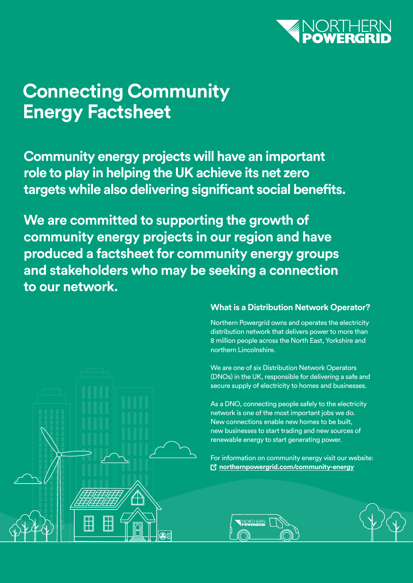

# **Connecting Community Energy Factsheet**

**Community energy projects will have an important role to play in helping the UK achieve its net zero targets while also delivering significant social benefits.** 

**We are committed to supporting the growth of community energy projects in our region and have produced a factsheet for community energy groups and stakeholders who may be seeking a connection to our network.**



#### **What is a Distribution Network Operator?**

Northern Powergrid owns and operates the electricity distribution network that delivers power to more than 8 million people across the North East, Yorkshire and northern Lincolnshire.

We are one of six Distribution Network Operators (DNOs) in the UK, responsible for delivering a safe and secure supply of electricity to homes and businesses.

As a DNO, connecting people safely to the electricity network is one of the most important jobs we do. New connections enable new homes to be built, new businesses to start trading and new sources of renewable energy to start generating power.

For information on community energy visit our website: **M** [northernpowergrid.com/community-energy](http://northernpowergrid.com/community-energy)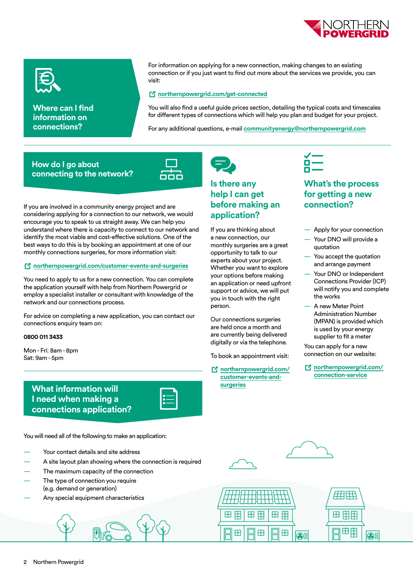



**Where can I find information on connections?** 

For information on applying for a new connection, making changes to an existing connection or if you just want to find out more about the services we provide, you can visit:

#### *[northernpowergrid.com/get-connected](http://northernpowergrid.com/get-connected)*

You will also find a useful guide prices section, detailing the typical costs and timescales for different types of connections which will help you plan and budget for your project.

For any additional questions, e-mail **[communityenergy@northernpowergrid.com](mailto:communityenergy%40northernpowergrid.com?subject=)**

#### **How do I go about connecting to the network?**



If you are involved in a community energy project and are considering applying for a connection to our network, we would encourage you to speak to us straight away. We can help you understand where there is capacity to connect to our network and identify the most viable and cost-effective solutions. One of the best ways to do this is by booking an appointment at one of our monthly connections surgeries, for more information visit:

#### **[northernpowergrid.com/customer-events-and-surgeries](http://northernpowergrid.com/customer-events-and-surgeries)**

You need to apply to us for a new connection. You can complete the application yourself with help from Northern Powergrid or employ a specialist installer or consultant with knowledge of the network and our connections process.

For advice on completing a new application, you can contact our connections enquiry team on:

#### **0800 011 3433**

Mon - Fri: 8am - 8pm Sat: 9am - 5pm

> **What information will I need when making a connections application?**



You will need all of the following to make an application:

- Your contact details and site address
- A site layout plan showing where the connection is required
- The maximum capacity of the connection The type of connection you require (e.g. demand or generation)
- Any special equipment characteristics



#### **Is there any help I can get before making an application?**

If you are thinking about a new connection, our monthly surgeries are a great opportunity to talk to our experts about your project. Whether you want to explore your options before making an application or need upfront support or advice, we will put you in touch with the right person.

Our connections surgeries are held once a month and are currently being delivered digitally or via the telephone.

To book an appointment visit:

 **[northernpowergrid.com/](http://northernpowergrid.com/customer-events-and-surgeries) [customer-events-and](http://northernpowergrid.com/customer-events-and-surgeries)[surgeries](http://northernpowergrid.com/customer-events-and-surgeries)**



#### **What's the process for getting a new connection?**

- Apply for your connection
- Your DNO will provide a quotation
- You accept the quotation and arrange payment
- Your DNO or Independent Connections Provider (ICP) will notify you and complete the works
- A new Meter Point Administration Number (MPAN) is provided which is used by your energy supplier to fit a meter

You can apply for a new connection on our website:

 **[northernpowergrid.com/](http://northernpowergrid.com/connection-service) [connection-service](http://northernpowergrid.com/connection-service)**



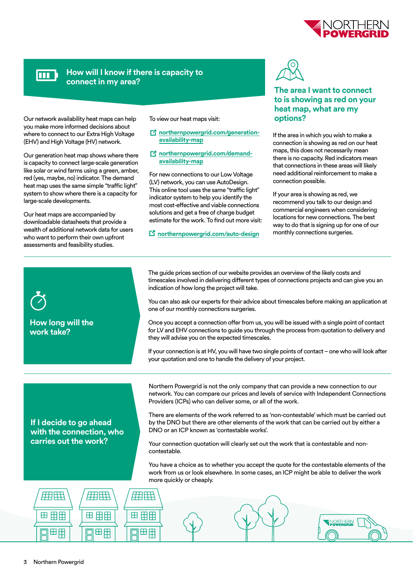

## **FOOT**

#### **How will I know if there is capacity to connect in my area?**

Our network availability heat maps can help you make more informed decisions about where to connect to our Extra High Voltage (EHV) and High Voltage (HV) network.

Our generation heat map shows where there is capacity to connect large-scale generation like solar or wind farms using a green, amber, red (yes, maybe, no) indicator. The demand heat map uses the same simple "traffic light" system to show where there is a capacity for large-scale developments.

Our heat maps are accompanied by downloadable datasheets that provide a wealth of additional network data for users who want to perform their own upfront assessments and feasibility studies.

To view our heat maps visit:

- *<u>A</u>* [northernpowergrid.com/generation](http://northernpowergrid.com/generation-availability-map)**[availability-map](http://northernpowergrid.com/generation-availability-map)**
- **7** [northernpowergrid.com/demand](http://northernpowergrid.com/demand-availability-map)**[availability-map](http://northernpowergrid.com/demand-availability-map)**

For new connections to our Low Voltage (LV) network, you can use AutoDesign. This online tool uses the same "traffic light" indicator system to help you identify the most cost-effective and viable connections solutions and get a free of charge budget estimate for the work. To find out more visit:

**[northernpowergrid.com/auto-design](http://northernpowergrid.com/auto-design)**



#### **The area I want to connect to is showing as red on your heat map, what are my options?**

If the area in which you wish to make a connection is showing as red on our heat maps, this does not necessarily mean there is no capacity. Red indicators mean that connections in these areas will likely need additional reinforcement to make a connection possible.

If your area is showing as red, we recommend you talk to our design and commercial engineers when considering locations for new connections. The best way to do that is signing up for one of our monthly connections surgeries.

| How long will the<br>work take?                                                                               | The guide prices section of our website provides an overview of the likely costs and<br>timescales involved in delivering different types of connections projects and can give you an<br>indication of how long the project will take.<br>You can also ask our experts for their advice about timescales before making an application at<br>one of our monthly connections surgeries.<br>Once you accept a connection offer from us, you will be issued with a single point of contact<br>for LV and EHV connections to guide you through the process from quotation to delivery and<br>they will advise you on the expected timescales.<br>If your connection is at HV, you will have two single points of contact - one who will look after<br>your quotation and one to handle the delivery of your project. |
|---------------------------------------------------------------------------------------------------------------|-----------------------------------------------------------------------------------------------------------------------------------------------------------------------------------------------------------------------------------------------------------------------------------------------------------------------------------------------------------------------------------------------------------------------------------------------------------------------------------------------------------------------------------------------------------------------------------------------------------------------------------------------------------------------------------------------------------------------------------------------------------------------------------------------------------------|
| If I decide to go ahead<br>with the connection, who<br>carries out the work?                                  | Northern Powergrid is not the only company that can provide a new connection to our<br>network. You can compare our prices and levels of service with Independent Connections<br>Providers (ICPs) who can deliver some, or all of the work.<br>There are elements of the work referred to as 'non-contestable' which must be carried out<br>by the DNO but there are other elements of the work that can be carried out by either a<br>DNO or an ICP known as 'contestable works'.<br>Your connection quotation will clearly set out the work that is contestable and non-<br>contestable.<br>You have a choice as to whether you accept the quote for the contestable elements of the<br>work from us or look elsewhere. In some cases, an ICP might be able to deliver the work                               |
| more quickly or cheaply.<br>22 H<br># H<br>用田<br>田田田<br>田田田<br>田田田<br>NORTHERN<br>Powergrid<br>田田<br>田田<br>田田 |                                                                                                                                                                                                                                                                                                                                                                                                                                                                                                                                                                                                                                                                                                                                                                                                                 |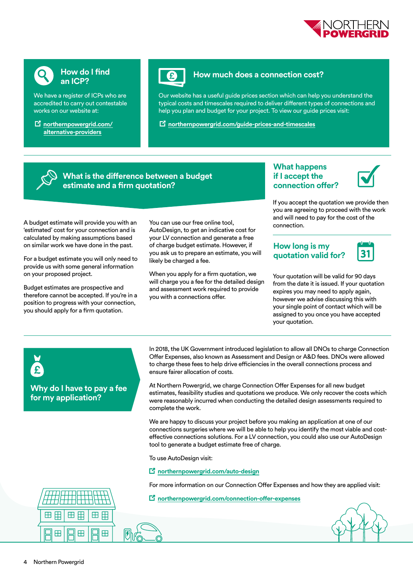



#### **How do I find an ICP?**

We have a register of ICPs who are accredited to carry out contestable works on our website at:

 **[northernpowergrid.com/](http://northernpowergrid.com/alternative-providers) [alternative-providers](http://northernpowergrid.com/alternative-providers)**



#### **How much does a connection cost?**

Our website has a useful guide prices section which can help you understand the typical costs and timescales required to deliver different types of connections and help you plan and budget for your project. To view our guide prices visit:

**[northernpowergrid.com/guide-prices-and-timescales](http://northernpowergrid.com/guide-prices-and-timescales)**

#### **What is the difference between a budget estimate and a firm quotation?**

A budget estimate will provide you with an 'estimated' cost for your connection and is calculated by making assumptions based on similar work we have done in the past.

For a budget estimate you will only need to provide us with some general information on your proposed project.

Budget estimates are prospective and therefore cannot be accepted. If you're in a position to progress with your connection, you should apply for a firm quotation.

You can use our free online tool, AutoDesign, to get an indicative cost for your LV connection and generate a free of charge budget estimate. However, if you ask us to prepare an estimate, you will likely be charged a fee.

When you apply for a firm quotation, we will charge you a fee for the detailed design and assessment work required to provide you with a connections offer.

#### **What happens if I accept the connection offer?**



If you accept the quotation we provide then you are agreeing to proceed with the work and will need to pay for the cost of the connection.

#### **How long is my quotation valid for?**



Your quotation will be valid for 90 days from the date it is issued. If your quotation expires you may need to apply again, however we advise discussing this with your single point of contact which will be assigned to you once you have accepted your quotation.

**Why do I have to pay a fee for my application?** 

In 2018, the UK Government introduced legislation to allow all DNOs to charge Connection Offer Expenses, also known as Assessment and Design or A&D fees. DNOs were allowed to charge these fees to help drive efficiencies in the overall connections process and ensure fairer allocation of costs.

At Northern Powergrid, we charge Connection Offer Expenses for all new budget estimates, feasibility studies and quotations we produce. We only recover the costs which were reasonably incurred when conducting the detailed design assessments required to complete the work.

We are happy to discuss your project before you making an application at one of our connections surgeries where we will be able to help you identify the most viable and costeffective connections solutions. For a LV connection, you could also use our AutoDesign tool to generate a budget estimate free of charge.

To use AutoDesign visit:

**[northernpowergrid.com/auto-design](http://northernpowergrid.com/auto-design)**

For more information on our Connection Offer Expenses and how they are applied visit:

**[northernpowergrid.com/connection-offer-expenses](http://northernpowergrid.com/connection-offer-expenses)**



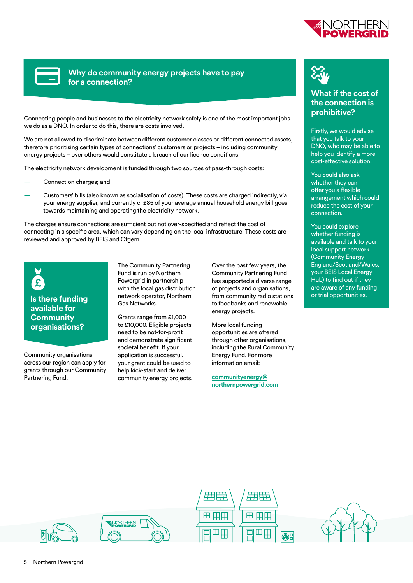

**Why do community energy projects have to pay for a connection?**

Connecting people and businesses to the electricity network safely is one of the most important jobs we do as a DNO. In order to do this, there are costs involved.

We are not allowed to discriminate between different customer classes or different connected assets, therefore prioritising certain types of connections' customers or projects – including community energy projects – over others would constitute a breach of our licence conditions.

The electricity network development is funded through two sources of pass-through costs:

- Connection charges; and
- Customers' bills (also known as socialisation of costs). These costs are charged indirectly, via your energy supplier, and currently c. £85 of your average annual household energy bill goes towards maintaining and operating the electricity network.

The charges ensure connections are sufficient but not over-specified and reflect the cost of connecting in a specific area, which can vary depending on the local infrastructure. These costs are reviewed and approved by BEIS and Ofgem.



### **Is there funding available for Community organisations?**

Community organisations across our region can apply for grants through our Community Partnering Fund.

The Community Partnering Fund is run by Northern Powergrid in partnership with the local gas distribution network operator, Northern Gas Networks.

Grants range from £1,000 to £10,000. Eligible projects need to be not-for-profit and demonstrate significant societal benefit. If your application is successful, your grant could be used to help kick-start and deliver community energy projects. Over the past few years, the Community Partnering Fund has supported a diverse range of projects and organisations, from community radio stations to foodbanks and renewable energy projects.

More local funding opportunities are offered through other organisations, including the Rural Community Energy Fund. For more information email:

**[communityenergy@](mailto:communityenergy%40northernpowergrid.com?subject=) [northernpowergrid.com](mailto:communityenergy%40northernpowergrid.com?subject=)**



#### **What if the cost of the connection is prohibitive?**

Firstly, we would advise that you talk to your DNO, who may be able to help you identify a more cost-effective solution.

You could also ask whether they can offer you a flexible arrangement which could reduce the cost of your connection.

You could explore whether funding is available and talk to your local support network (Community Energy England/Scotland/Wales, your BEIS Local Energy Hub) to find out if they are aware of any funding or trial opportunities.